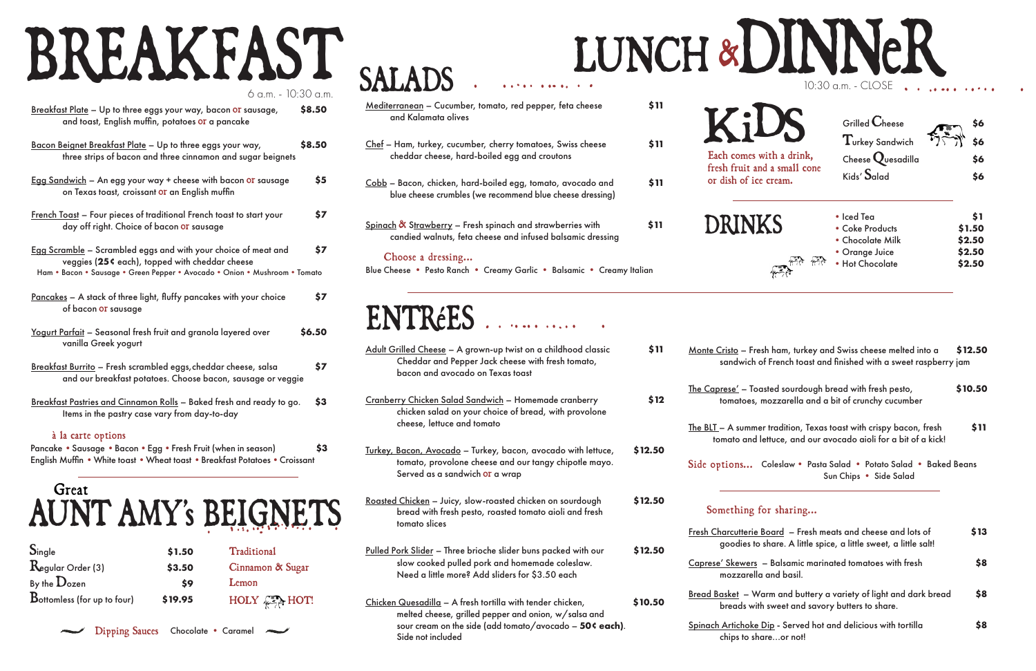| <u> Mediterranean</u> – Cucumber, tomato, red pepper, feta cheese<br>and Kalamata olives                                             | \$11 |
|--------------------------------------------------------------------------------------------------------------------------------------|------|
| <u> Chef</u> – Ham, turkey, cucumber, cherry tomatoes, Swiss cheese<br>cheddar cheese, hard-boiled egg and croutons                  | \$11 |
| <u>Cobb</u> – Bacon, chicken, hard-boiled egg, tomato, avocado and<br>blue cheese crumbles (we recommend blue cheese dressing)       | \$11 |
| <u> Spinach &amp; Strawberry</u> – Fresh spinach and strawberries with<br>candied walnuts, feta cheese and infused balsamic dressing | \$11 |
| Choose a dressing<br>Blue Cheese • Pesto Ranch • Creamy Garlic • Balsamic • Creamy Italian                                           |      |

## Great AUNT AMY's BEIGNETS

| Adult Grilled Cheese - A grown-up twist on a childhood classic<br>Cheddar and Pepper Jack cheese with fresh tomato,<br>bacon and avocado on Texas toast                       | \$11    |
|-------------------------------------------------------------------------------------------------------------------------------------------------------------------------------|---------|
| Cranberry Chicken Salad Sandwich - Homemade cranberry<br>chicken salad on your choice of bread, with provolone<br>cheese, lettuce and tomato                                  | \$12    |
| Turkey, Bacon, Avocado - Turkey, bacon, avocado with lettuce,<br>tomato, provolone cheese and our tangy chipotle mayo.<br>Served as a sandwich or a wrap                      | \$12.50 |
| Roasted Chicken - Juicy, slow-roasted chicken on sourdough<br>bread with fresh pesto, roasted tomato aioli and fresh<br>tomato slices                                         | \$12.50 |
| Pulled Pork Slider - Three brioche slider buns packed with our<br>slow cooked pulled pork and homemade coleslaw.<br>Need a little more? Add sliders for \$3.50 each           | \$12.50 |
| Chicken Quesadilla - A fresh tortilla with tender chicken,<br>melted cheese, grilled pepper and onion, w/salsa and<br>sour cream on the side (add tomato/avocado - 50¢ each). | \$10.50 |

sandwich of The Caprese' – Toa tomatoes,

## ENTRéES .

Side options... Coleslaw• Pasta Salad • Potato Salad • Baked Beans Sun Chips • Side Salad

| Board  – Fresh meats and cheese and lots of<br>share. A little spice, a little sweet, a little salt! | \$13 |
|------------------------------------------------------------------------------------------------------|------|
| – Balsamic marinated tomatoes with fresh<br>and basil.                                               | \$8  |
| arm and buttery a variety of light and dark bread<br>i sweet and savory butters to share.            | \$8  |
| <u>Dip</u> - Served hot and delicious with tortilla<br>areor not!                                    | \$8  |

| 6 a.m. - 10:30 a.m.                                                                                                                                                                            |        |
|------------------------------------------------------------------------------------------------------------------------------------------------------------------------------------------------|--------|
| Breakfast Plate - Up to three eggs your way, bacon or sausage,<br>and toast, English muffin, potatoes or a pancake                                                                             | \$8.50 |
| Bacon Beignet Breakfast Plate - Up to three eggs your way,<br>three strips of bacon and three cinnamon and sugar beignets                                                                      | \$8.50 |
| Egg Sandwich - An egg your way + cheese with bacon or sausage<br>on Texas toast, croissant or an English muffin                                                                                | \$5    |
| <u>French Toast</u> - Four pieces of traditional French toast to start your<br>day off right. Choice of bacon or sausage                                                                       | \$7    |
| Egg Scramble – Scrambled eggs and with your choice of meat and<br>veggies (25¢ each), topped with cheddar cheese<br>Ham . Bacon . Sausage . Green Pepper . Avocado . Onion . Mushroom . Tomato | \$7    |
| <u>Pancakes</u> - A stack of three light, fluffy pancakes with your choice<br>of bacon or sausage                                                                                              | \$7    |
| <u> Yogurt Parfait</u> – Seasonal fresh fruit and granola layered over<br>vanilla Greek yogurt                                                                                                 | \$6.50 |
| Breakfast Burrito - Fresh scrambled eggs, cheddar cheese, salsa<br>and our breakfast potatoes. Choose bacon, sausage or veggie                                                                 | \$7    |
| Breakfast Pastries and Cinnamon Rolls - Baked fresh and ready to go.<br>Items in the pastry case vary from day-to-day                                                                          | \$3    |
| à la carte options                                                                                                                                                                             |        |
| Pancake • Sausage • Bacon • Egg • Fresh Fruit (when in season)                                                                                                                                 | \$3    |

|  | LUNCH & DINNER              |
|--|-----------------------------|
|  | 10:30 a.m. - CLOSE $\cdots$ |
|  |                             |

## English Muffin • White toast • Wheat toast • Breakfast Potatoes• Croissant

# BREAKFAST

. . . . .. . . . . . .

Side not included

| Monte Cristo - Fresh ham, turkey and Swiss cheese melted into a  | \$12.50 |
|------------------------------------------------------------------|---------|
| sandwich of French toast and finished with a sweet raspberry jam |         |

| isted sourdough bread with fresh pesto,  | \$10.50 |
|------------------------------------------|---------|
| mozzarella and a bit of crunchy cucumber |         |

| $S_{\text{ingle}}$                 | \$1.50  | Traditional                         |
|------------------------------------|---------|-------------------------------------|
| Regular Order (3)                  | \$3.50  | Cinnamon & Sugar                    |
| By the $\mathbf{D}_{\text{ozen}}$  | \$9     | Lemon                               |
| <b>Bottomless (for up to four)</b> | \$19.95 | $HOLY \longrightarrow_{\{x\}} HOT!$ |

**SALADS** 

| Each comes with a drink,<br>fresh fruit and a small cone<br>or dish of ice cream. | Grilled $\mathbf C$ heese<br>$\mathrm{T}_{\text{urkey}}$ Sandwich<br>Cheese Quesadilla<br>Kids' $\mathsf{S}_{\mathsf{alad}}$ |                                             |
|-----------------------------------------------------------------------------------|------------------------------------------------------------------------------------------------------------------------------|---------------------------------------------|
| <b>DRINKS</b>                                                                     | • Iced Tea<br>• Coke Products<br>• Chocolate Milk<br>• Orange Juice<br>• Hot Chocolate                                       | \$1<br>\$1.50<br>\$2.50<br>\$2.50<br>\$2.50 |

The BLT – A summer tradition, Texas toast with crispy bacon, fresh **\$11** tomato and lettuce, and our avocado aioli for a bit of a kick!

### Something for sharing...

**Fresh Charcutterie** goodies to

Caprese' Skewers mozzarella

Bread Basket – Wa breads with

Spinach Artichoke chips to sho

Dipping Sauces Chocolate • Caramel